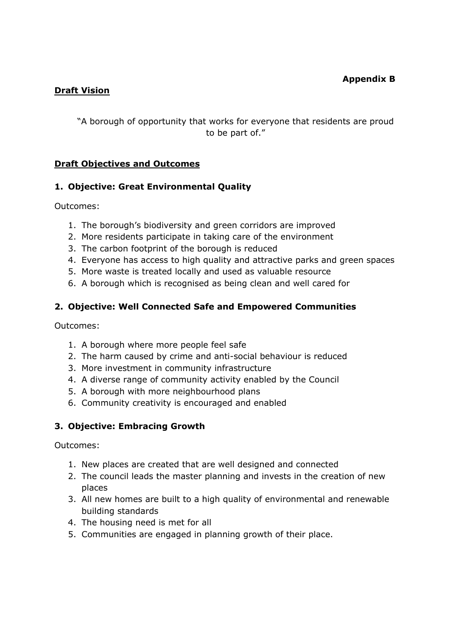### **Draft Vision**

"A borough of opportunity that works for everyone that residents are proud to be part of."

## **Draft Objectives and Outcomes**

### **1. Objective: Great Environmental Quality**

Outcomes:

- 1. The borough's biodiversity and green corridors are improved
- 2. More residents participate in taking care of the environment
- 3. The carbon footprint of the borough is reduced
- 4. Everyone has access to high quality and attractive parks and green spaces
- 5. More waste is treated locally and used as valuable resource
- 6. A borough which is recognised as being clean and well cared for

## **2. Objective: Well Connected Safe and Empowered Communities**

Outcomes:

- 1. A borough where more people feel safe
- 2. The harm caused by crime and anti-social behaviour is reduced
- 3. More investment in community infrastructure
- 4. A diverse range of community activity enabled by the Council
- 5. A borough with more neighbourhood plans
- 6. Community creativity is encouraged and enabled

# **3. Objective: Embracing Growth**

Outcomes:

- 1. New places are created that are well designed and connected
- 2. The council leads the master planning and invests in the creation of new places
- 3. All new homes are built to a high quality of environmental and renewable building standards
- 4. The housing need is met for all
- 5. Communities are engaged in planning growth of their place.